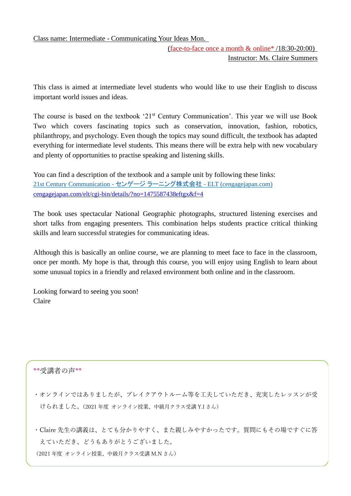## Class name: Intermediate - Communicating Your Ideas Mon.

(face-to-face once a month & online\* /18:30-20:00) Instructor: Ms. Claire Summers

This class is aimed at intermediate level students who would like to use their English to discuss important world issues and ideas.

The course is based on the textbook '21<sup>st</sup> Century Communication'. This year we will use Book Two which covers fascinating topics such as conservation, innovation, fashion, robotics, philanthropy, and psychology. Even though the topics may sound difficult, the textbook has adapted everything for intermediate level students. This means there will be extra help with new vocabulary and plenty of opportunities to practise speaking and listening skills.

You can find a description of the textbook and a sample unit by following these links: [21st Century Communication -](http://cengagejapan.com/elt/ListeningSpeaking/page/?no=1475587438eftgx) センゲージ ラーニング株式会社 - ELT (cengagejapan.com) [cengagejapan.com/elt/cgi-bin/details/?no=1475587438eftgx&f=4](http://cengagejapan.com/elt/cgi-bin/details/?no=1475587438eftgx&f=4)

The book uses spectacular National Geographic photographs, structured listening exercises and short talks from engaging presenters. This combination helps students practice critical thinking skills and learn successful strategies for communicating ideas.

Although this is basically an online course, we are planning to meet face to face in the classroom, once per month. My hope is that, through this course, you will enjoy using English to learn about some unusual topics in a friendly and relaxed environment both online and in the classroom.

Looking forward to seeing you soon! Claire

## \*\*受講者の声\*\*

- ・オンラインではありましたが、ブレイクアウトルーム等を工夫していただき、充実したレッスンが受 けられました。(2021 年度 オンライン授業、中級月クラス受講 Y.I さん)
- ・Claire 先生の講義は、とても分かりやすく、また親しみやすかったです。質問にもその場ですぐに答 えていただき、どうもありがとうございました。 (2021 年度 オンライン授業、中級月クラス受講 M.N さん)